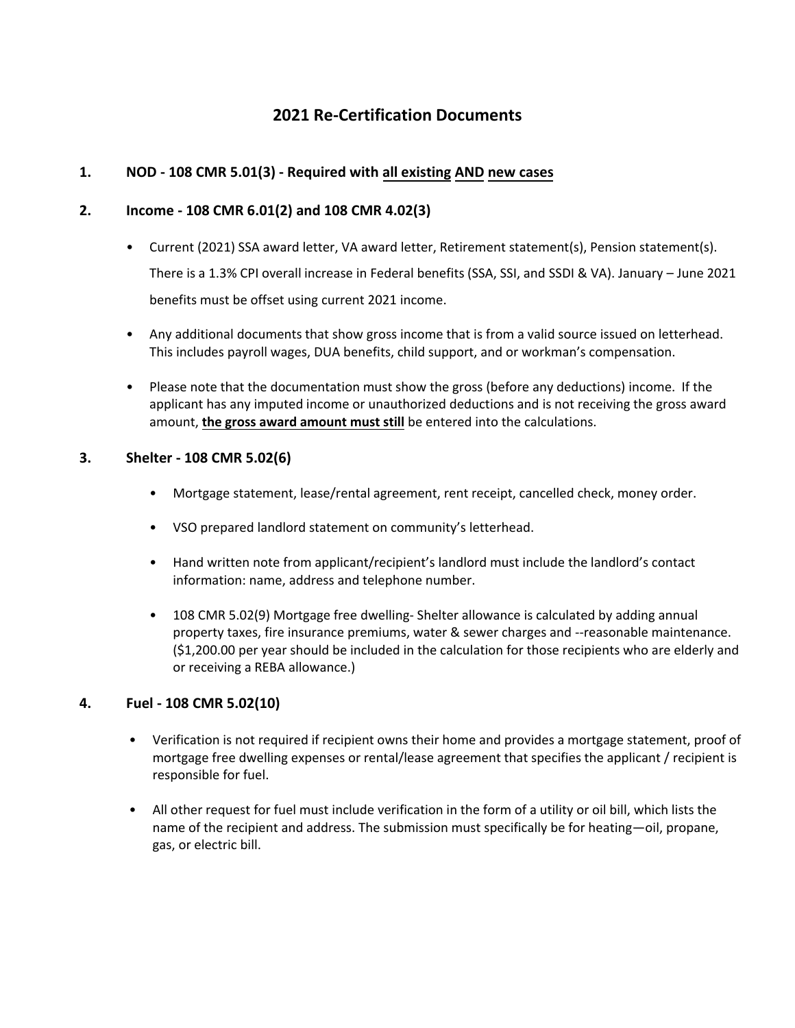# **2021 Re-Certification Documents**

#### **1. NOD - 108 CMR 5.01(3) - Required with all existing AND new cases**

#### **2. Income - 108 CMR 6.01(2) and 108 CMR 4.02(3)**

- Current (2021) SSA award letter, VA award letter, Retirement statement(s), Pension statement(s). There is a 1.3% CPI overall increase in Federal benefits (SSA, SSI, and SSDI & VA). January – June 2021 benefits must be offset using current 2021 income.
- Any additional documents that show gross income that is from a valid source issued on letterhead. This includes payroll wages, DUA benefits, child support, and or workman's compensation.
- Please note that the documentation must show the gross (before any deductions) income. If the applicant has any imputed income or unauthorized deductions and is not receiving the gross award amount, **the gross award amount must still** be entered into the calculations.

#### **3. Shelter - 108 CMR 5.02(6)**

- Mortgage statement, lease/rental agreement, rent receipt, cancelled check, money order.
- VSO prepared landlord statement on community's letterhead.
- Hand written note from applicant/recipient's landlord must include the landlord's contact information: name, address and telephone number.
- 108 CMR 5.02(9) Mortgage free dwelling- Shelter allowance is calculated by adding annual property taxes, fire insurance premiums, water & sewer charges and --reasonable maintenance. (\$1,200.00 per year should be included in the calculation for those recipients who are elderly and or receiving a REBA allowance.)

#### **4. Fuel - 108 CMR 5.02(10)**

- Verification is not required if recipient owns their home and provides a mortgage statement, proof of mortgage free dwelling expenses or rental/lease agreement that specifies the applicant / recipient is responsible for fuel.
- All other request for fuel must include verification in the form of a utility or oil bill, which lists the name of the recipient and address. The submission must specifically be for heating—oil, propane, gas, or electric bill.